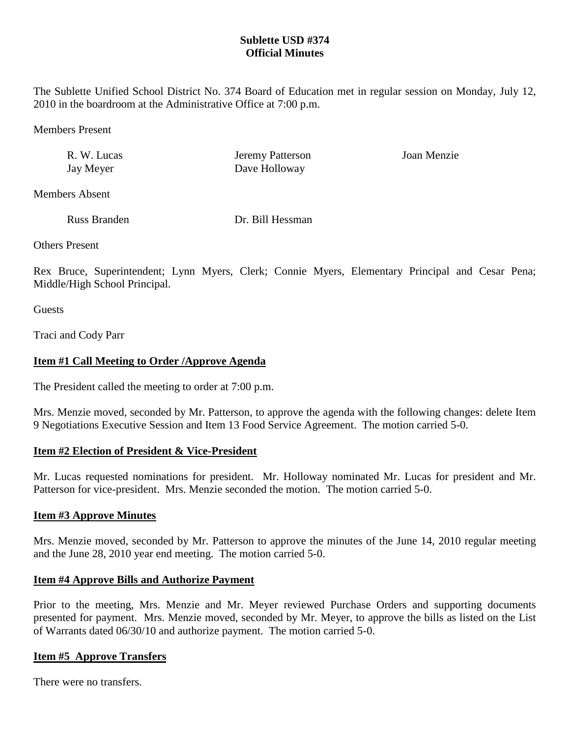## **Sublette USD #374 Official Minutes**

The Sublette Unified School District No. 374 Board of Education met in regular session on Monday, July 12, 2010 in the boardroom at the Administrative Office at 7:00 p.m.

Members Present

| R. W. Lucas | <b>Jeremy Patterson</b> | Joan Menzie |
|-------------|-------------------------|-------------|
| Jay Meyer   | Dave Holloway           |             |

Members Absent

Russ Branden Dr. Bill Hessman

Others Present

Rex Bruce, Superintendent; Lynn Myers, Clerk; Connie Myers, Elementary Principal and Cesar Pena; Middle/High School Principal.

**Guests** 

Traci and Cody Parr

## **Item #1 Call Meeting to Order /Approve Agenda**

The President called the meeting to order at 7:00 p.m.

Mrs. Menzie moved, seconded by Mr. Patterson, to approve the agenda with the following changes: delete Item 9 Negotiations Executive Session and Item 13 Food Service Agreement. The motion carried 5-0.

#### **Item #2 Election of President & Vice-President**

Mr. Lucas requested nominations for president. Mr. Holloway nominated Mr. Lucas for president and Mr. Patterson for vice-president. Mrs. Menzie seconded the motion. The motion carried 5-0.

## **Item #3 Approve Minutes**

Mrs. Menzie moved, seconded by Mr. Patterson to approve the minutes of the June 14, 2010 regular meeting and the June 28, 2010 year end meeting. The motion carried 5-0.

## **Item #4 Approve Bills and Authorize Payment**

Prior to the meeting, Mrs. Menzie and Mr. Meyer reviewed Purchase Orders and supporting documents presented for payment. Mrs. Menzie moved, seconded by Mr. Meyer, to approve the bills as listed on the List of Warrants dated 06/30/10 and authorize payment. The motion carried 5-0.

#### **Item #5 Approve Transfers**

There were no transfers.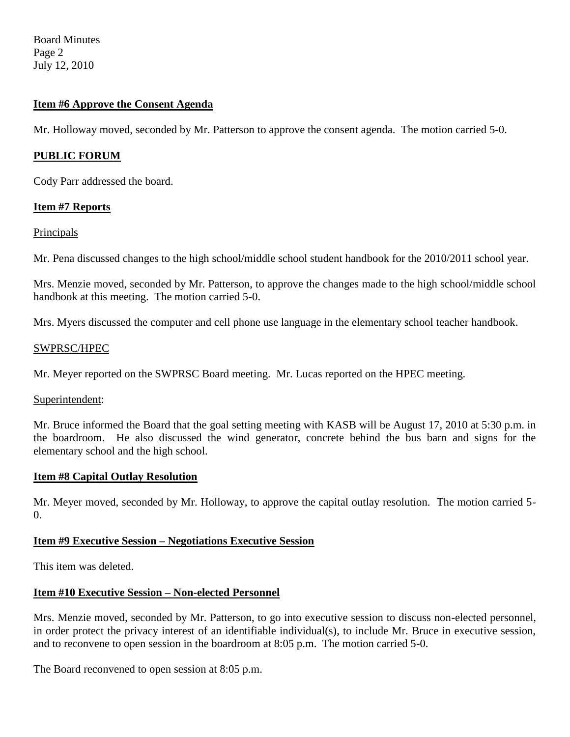Board Minutes Page 2 July 12, 2010

### **Item #6 Approve the Consent Agenda**

Mr. Holloway moved, seconded by Mr. Patterson to approve the consent agenda. The motion carried 5-0.

#### **PUBLIC FORUM**

Cody Parr addressed the board.

### **Item #7 Reports**

### Principals

Mr. Pena discussed changes to the high school/middle school student handbook for the 2010/2011 school year.

Mrs. Menzie moved, seconded by Mr. Patterson, to approve the changes made to the high school/middle school handbook at this meeting. The motion carried 5-0.

Mrs. Myers discussed the computer and cell phone use language in the elementary school teacher handbook.

### SWPRSC/HPEC

Mr. Meyer reported on the SWPRSC Board meeting. Mr. Lucas reported on the HPEC meeting.

Superintendent:

Mr. Bruce informed the Board that the goal setting meeting with KASB will be August 17, 2010 at 5:30 p.m. in the boardroom. He also discussed the wind generator, concrete behind the bus barn and signs for the elementary school and the high school.

#### **Item #8 Capital Outlay Resolution**

Mr. Meyer moved, seconded by Mr. Holloway, to approve the capital outlay resolution. The motion carried 5-  $\Omega$ .

## **Item #9 Executive Session – Negotiations Executive Session**

This item was deleted.

#### **Item #10 Executive Session – Non-elected Personnel**

Mrs. Menzie moved, seconded by Mr. Patterson, to go into executive session to discuss non-elected personnel, in order protect the privacy interest of an identifiable individual(s), to include Mr. Bruce in executive session, and to reconvene to open session in the boardroom at 8:05 p.m. The motion carried 5-0.

The Board reconvened to open session at 8:05 p.m.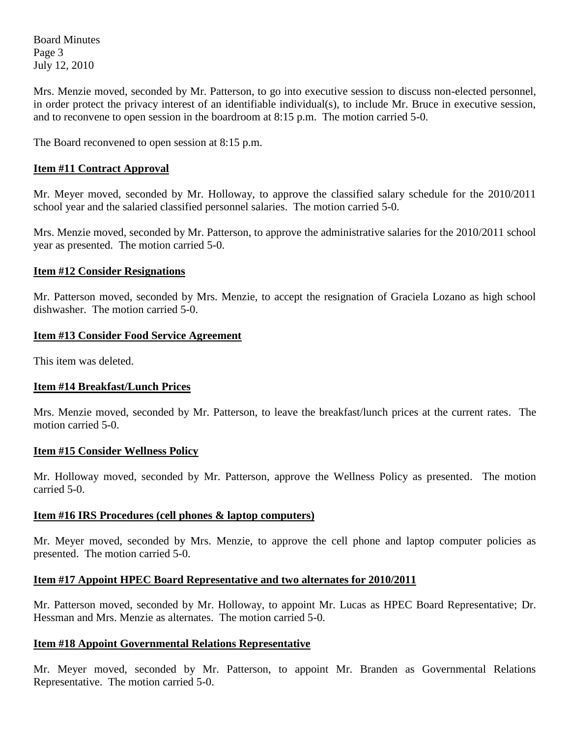Board Minutes Page 3 July 12, 2010

Mrs. Menzie moved, seconded by Mr. Patterson, to go into executive session to discuss non-elected personnel, in order protect the privacy interest of an identifiable individual(s), to include Mr. Bruce in executive session, and to reconvene to open session in the boardroom at 8:15 p.m. The motion carried 5-0.

The Board reconvened to open session at 8:15 p.m.

### **Item #11 Contract Approval**

Mr. Meyer moved, seconded by Mr. Holloway, to approve the classified salary schedule for the 2010/2011 school year and the salaried classified personnel salaries. The motion carried 5-0.

Mrs. Menzie moved, seconded by Mr. Patterson, to approve the administrative salaries for the 2010/2011 school year as presented. The motion carried 5-0.

#### **Item #12 Consider Resignations**

Mr. Patterson moved, seconded by Mrs. Menzie, to accept the resignation of Graciela Lozano as high school dishwasher. The motion carried 5-0.

### **Item #13 Consider Food Service Agreement**

This item was deleted.

## **Item #14 Breakfast/Lunch Prices**

Mrs. Menzie moved, seconded by Mr. Patterson, to leave the breakfast/lunch prices at the current rates. The motion carried 5-0.

#### **Item #15 Consider Wellness Policy**

Mr. Holloway moved, seconded by Mr. Patterson, approve the Wellness Policy as presented. The motion carried 5-0.

#### **Item #16 IRS Procedures (cell phones & laptop computers)**

Mr. Meyer moved, seconded by Mrs. Menzie, to approve the cell phone and laptop computer policies as presented. The motion carried 5-0.

## **Item #17 Appoint HPEC Board Representative and two alternates for 2010/2011**

Mr. Patterson moved, seconded by Mr. Holloway, to appoint Mr. Lucas as HPEC Board Representative; Dr. Hessman and Mrs. Menzie as alternates. The motion carried 5-0.

#### **Item #18 Appoint Governmental Relations Representative**

Mr. Meyer moved, seconded by Mr. Patterson, to appoint Mr. Branden as Governmental Relations Representative. The motion carried 5-0.